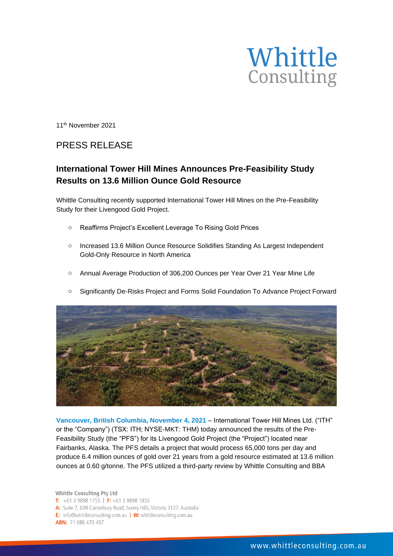

11 th November 2021

# PRESS RELEASE

## **International Tower Hill Mines Announces Pre-Feasibility Study Results on 13.6 Million Ounce Gold Resource**

Whittle Consulting recently supported International Tower Hill Mines on the Pre-Feasibility Study for their Livengood Gold Project.

- o Reaffirms Project's Excellent Leverage To Rising Gold Prices
- o Increased 13.6 Million Ounce Resource Solidifies Standing As Largest Independent Gold-Only Resource in North America
- o Annual Average Production of 306,200 Ounces per Year Over 21 Year Mine Life





**Vancouver, British Columbia, November 4, 2021** – International Tower Hill Mines Ltd. ("ITH" or the "Company") (TSX: ITH; NYSE-MKT: THM) today announced the results of the Pre-Feasibility Study (the "PFS") for its Livengood Gold Project (the "Project") located near Fairbanks, Alaska. The PFS details a project that would process 65,000 tons per day and produce 6.4 million ounces of gold over 21 years from a gold resource estimated at 13.6 million ounces at 0.60 g/tonne. The PFS utilized a third-party review by Whittle Consulting and BBA

Whittle Consulting Pty Ltd T:  $+61398981755$  | F:  $+61398981855$ A: Suite 7, 609 Canterbury Road, Surrey Hills, Victoria 3127, Australia E: info@whittleconsulting.com.au | W: whittleconsulting.com.au **ABN: 71 086 470 457**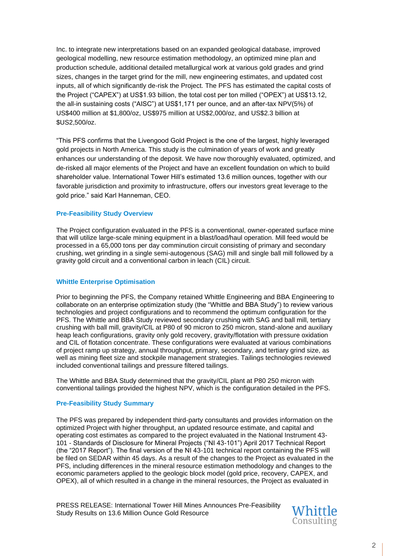Inc. to integrate new interpretations based on an expanded geological database, improved geological modelling, new resource estimation methodology, an optimized mine plan and production schedule, additional detailed metallurgical work at various gold grades and grind sizes, changes in the target grind for the mill, new engineering estimates, and updated cost inputs, all of which significantly de-risk the Project. The PFS has estimated the capital costs of the Project ("CAPEX") at US\$1.93 billion, the total cost per ton milled ("OPEX") at US\$13.12, the all-in sustaining costs ("AISC") at US\$1,171 per ounce, and an after-tax NPV(5%) of US\$400 million at \$1,800/oz, US\$975 million at US\$2,000/oz, and US\$2.3 billion at \$US2,500/oz.

"This PFS confirms that the Livengood Gold Project is the one of the largest, highly leveraged gold projects in North America. This study is the culmination of years of work and greatly enhances our understanding of the deposit. We have now thoroughly evaluated, optimized, and de-risked all major elements of the Project and have an excellent foundation on which to build shareholder value. International Tower Hill's estimated 13.6 million ounces, together with our favorable jurisdiction and proximity to infrastructure, offers our investors great leverage to the gold price." said Karl Hanneman, CEO.

### **Pre-Feasibility Study Overview**

The Project configuration evaluated in the PFS is a conventional, owner-operated surface mine that will utilize large-scale mining equipment in a blast/load/haul operation. Mill feed would be processed in a 65,000 tons per day comminution circuit consisting of primary and secondary crushing, wet grinding in a single semi-autogenous (SAG) mill and single ball mill followed by a gravity gold circuit and a conventional carbon in leach (CIL) circuit.

#### **Whittle Enterprise Optimisation**

Prior to beginning the PFS, the Company retained Whittle Engineering and BBA Engineering to collaborate on an enterprise optimization study (the "Whittle and BBA Study") to review various technologies and project configurations and to recommend the optimum configuration for the PFS. The Whittle and BBA Study reviewed secondary crushing with SAG and ball mill, tertiary crushing with ball mill, gravity/CIL at P80 of 90 micron to 250 micron, stand-alone and auxiliary heap leach configurations, gravity only gold recovery, gravity/flotation with pressure oxidation and CIL of flotation concentrate. These configurations were evaluated at various combinations of project ramp up strategy, annual throughput, primary, secondary, and tertiary grind size, as well as mining fleet size and stockpile management strategies. Tailings technologies reviewed included conventional tailings and pressure filtered tailings.

The Whittle and BBA Study determined that the gravity/CIL plant at P80 250 micron with conventional tailings provided the highest NPV, which is the configuration detailed in the PFS.

## **Pre-Feasibility Study Summary**

The PFS was prepared by independent third-party consultants and provides information on the optimized Project with higher throughput, an updated resource estimate, and capital and operating cost estimates as compared to the project evaluated in the National Instrument 43- 101 - Standards of Disclosure for Mineral Projects ("NI 43-101") April 2017 Technical Report (the "2017 Report"). The final version of the NI 43-101 technical report containing the PFS will be filed on SEDAR within 45 days. As a result of the changes to the Project as evaluated in the PFS, including differences in the mineral resource estimation methodology and changes to the economic parameters applied to the geologic block model (gold price, recovery, CAPEX, and OPEX), all of which resulted in a change in the mineral resources, the Project as evaluated in

PRESS RELEASE: International Tower Hill Mines Announces Pre-Feasibility Study Results on 13.6 Million Ounce Gold Resource